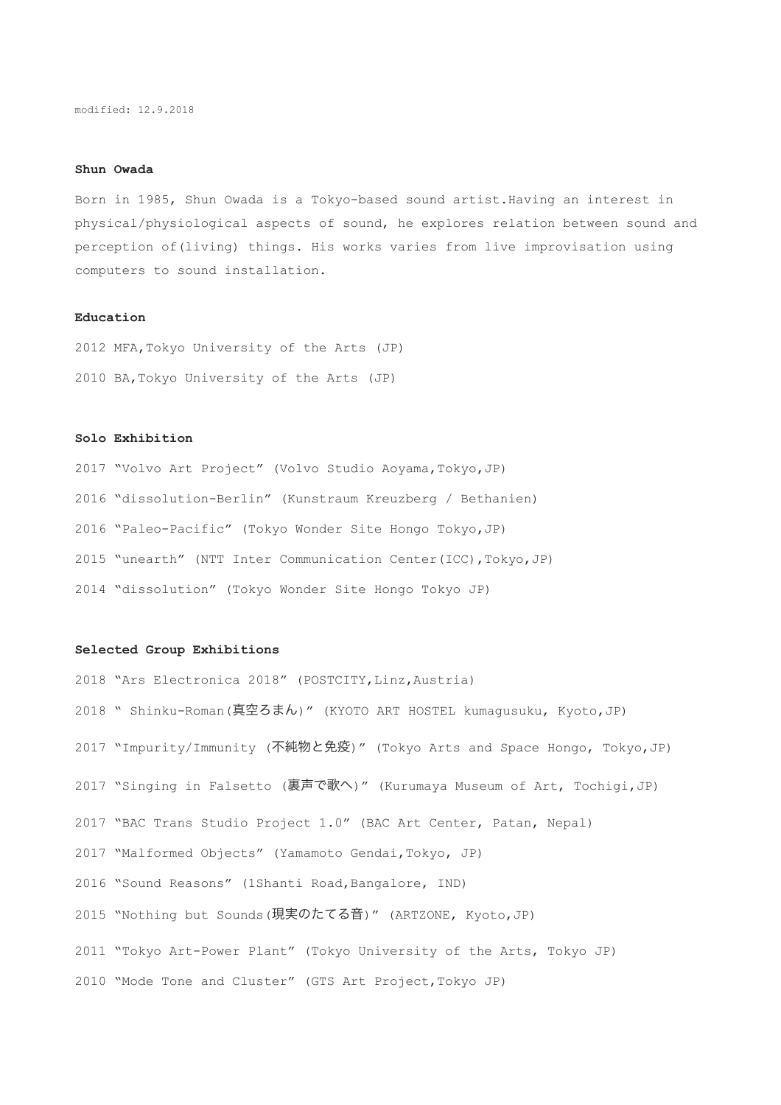## **Shun Owada**

Born in 1985, Shun Owada is a Tokyo-based sound artist.Having an interest in physical/physiological aspects of sound, he explores relation between sound and perception of(living) things. His works varies from live improvisation using computers to sound installation.

# **Education**

2012 MFA,Tokyo University of the Arts (JP) 2010 BA,Tokyo University of the Arts (JP)

# **Solo Exhibition**

2017 "Volvo Art Project" (Volvo Studio Aoyama,Tokyo,JP) 2016 "dissolution-Berlin" (Kunstraum Kreuzberg / Bethanien) 2016 "Paleo-Pacific" (Tokyo Wonder Site Hongo Tokyo,JP) 2015 "unearth" (NTT Inter Communication Center(ICC), Tokyo, JP) 2014 "dissolution" (Tokyo Wonder Site Hongo Tokyo JP)

#### **Selected Group Exhibitions**

2018 "Ars Electronica 2018" (POSTCITY,Linz,Austria) 2018 " Shinku-Roman (真空ろまん) " (KYOTO ART HOSTEL kumagusuku, Kyoto,JP) 2017 "Impurity/Immunity (不純物と免疫)" (Tokyo Arts and Space Hongo, Tokyo,JP) 2017 "Singing in Falsetto (裏声で歌へ)" (Kurumaya Museum of Art, Tochigi, JP) 2017 "BAC Trans Studio Project 1.0" (BAC Art Center, Patan, Nepal) 2017 "Malformed Objects" (Yamamoto Gendai,Tokyo, JP) 2016 "Sound Reasons" (1Shanti Road, Bangalore, IND) 2015 "Nothing but Sounds (現実のたてる音)" (ARTZONE, Kyoto, JP) 2011 "Tokyo Art-Power Plant" (Tokyo University of the Arts, Tokyo JP) 2010 "Mode Tone and Cluster" (GTS Art Project,Tokyo JP)